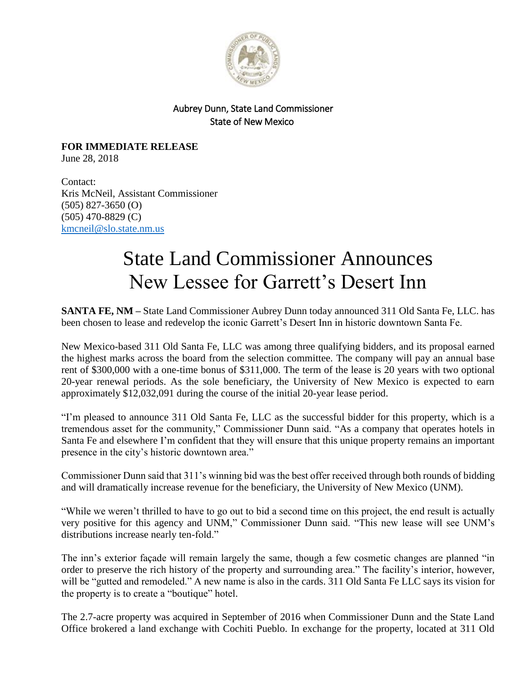

## Aubrey Dunn, State Land Commissioner State of New Mexico

**FOR IMMEDIATE RELEASE** June 28, 2018

Contact: Kris McNeil, Assistant Commissioner (505) 827-3650 (O) (505) 470-8829 (C) [kmcneil@slo.state.nm.us](mailto:kmcneil@slo.state.nm.us)

## State Land Commissioner Announces New Lessee for Garrett's Desert Inn

**SANTA FE, NM –** State Land Commissioner Aubrey Dunn today announced 311 Old Santa Fe, LLC. has been chosen to lease and redevelop the iconic Garrett's Desert Inn in historic downtown Santa Fe.

New Mexico-based 311 Old Santa Fe, LLC was among three qualifying bidders, and its proposal earned the highest marks across the board from the selection committee. The company will pay an annual base rent of \$300,000 with a one-time bonus of \$311,000. The term of the lease is 20 years with two optional 20-year renewal periods. As the sole beneficiary, the University of New Mexico is expected to earn approximately \$12,032,091 during the course of the initial 20-year lease period.

"I'm pleased to announce 311 Old Santa Fe, LLC as the successful bidder for this property, which is a tremendous asset for the community," Commissioner Dunn said. "As a company that operates hotels in Santa Fe and elsewhere I'm confident that they will ensure that this unique property remains an important presence in the city's historic downtown area."

Commissioner Dunn said that 311's winning bid was the best offer received through both rounds of bidding and will dramatically increase revenue for the beneficiary, the University of New Mexico (UNM).

"While we weren't thrilled to have to go out to bid a second time on this project, the end result is actually very positive for this agency and UNM," Commissioner Dunn said. "This new lease will see UNM's distributions increase nearly ten-fold."

The inn's exterior façade will remain largely the same, though a few cosmetic changes are planned "in order to preserve the rich history of the property and surrounding area." The facility's interior, however, will be "gutted and remodeled." A new name is also in the cards. 311 Old Santa Fe LLC says its vision for the property is to create a "boutique" hotel.

The 2.7-acre property was acquired in September of 2016 when Commissioner Dunn and the State Land Office brokered a land exchange with Cochiti Pueblo. In exchange for the property, located at 311 Old